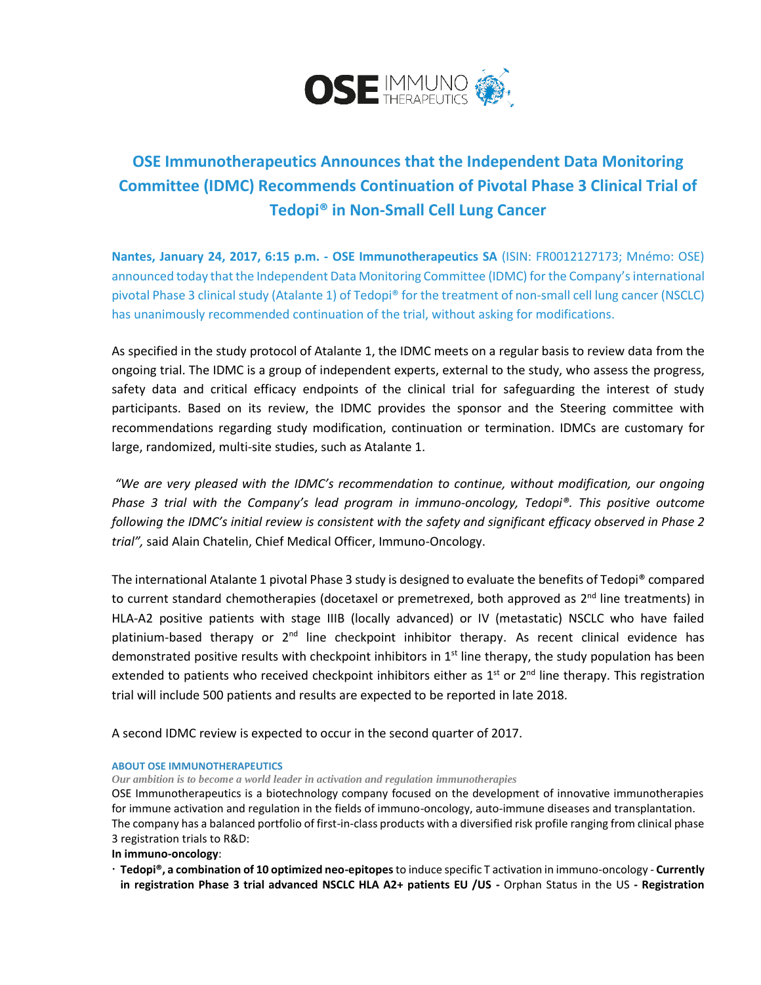

## **OSE Immunotherapeutics Announces that the Independent Data Monitoring Committee (IDMC) Recommends Continuation of Pivotal Phase 3 Clinical Trial of Tedopi® in Non-Small Cell Lung Cancer**

**Nantes, January 24, 2017, 6:15 p.m. - OSE Immunotherapeutics SA** (ISIN: FR0012127173; Mnémo: OSE) announced today that the Independent Data Monitoring Committee (IDMC) for the Company'sinternational pivotal Phase 3 clinical study (Atalante 1) of Tedopi® for the treatment of non-small cell lung cancer (NSCLC) has unanimously recommended continuation of the trial, without asking for modifications.

As specified in the study protocol of Atalante 1, the IDMC meets on a regular basis to review data from the ongoing trial. The IDMC is a group of independent experts, external to the study, who assess the progress, safety data and critical efficacy endpoints of the clinical trial for safeguarding the interest of study participants. Based on its review, the IDMC provides the sponsor and the Steering committee with recommendations regarding study modification, continuation or termination. IDMCs are customary for large, randomized, multi-site studies, such as Atalante 1.

*"We are very pleased with the IDMC's recommendation to continue, without modification, our ongoing Phase 3 trial with the Company's lead program in immuno-oncology, Tedopi®. This positive outcome following the IDMC's initial review is consistent with the safety and significant efficacy observed in Phase 2 trial",* said Alain Chatelin, Chief Medical Officer, Immuno-Oncology.

The international Atalante 1 pivotal Phase 3 study is designed to evaluate the benefits of Tedopi® compared to current standard chemotherapies (docetaxel or premetrexed, both approved as 2<sup>nd</sup> line treatments) in HLA-A2 positive patients with stage IIIB (locally advanced) or IV (metastatic) NSCLC who have failed platinium-based therapy or 2<sup>nd</sup> line checkpoint inhibitor therapy. As recent clinical evidence has demonstrated positive results with checkpoint inhibitors in 1<sup>st</sup> line therapy, the study population has been extended to patients who received checkpoint inhibitors either as 1<sup>st</sup> or 2<sup>nd</sup> line therapy. This registration trial will include 500 patients and results are expected to be reported in late 2018.

A second IDMC review is expected to occur in the second quarter of 2017.

## **ABOUT OSE IMMUNOTHERAPEUTICS**

*Our ambition is to become a world leader in activation and regulation immunotherapies*

OSE Immunotherapeutics is a biotechnology company focused on the development of innovative immunotherapies for immune activation and regulation in the fields of immuno-oncology, auto-immune diseases and transplantation. The company has a balanced portfolio of first-in-class products with a diversified risk profile ranging from clinical phase 3 registration trials to R&D:

**In immuno-oncology**:

 **Tedopi®, a combination of 10 optimized neo-epitopes** to induce specific T activation in immuno-oncology - **Currently in registration Phase 3 trial advanced NSCLC HLA A2+ patients EU /US -** Orphan Status in the US **- Registration**